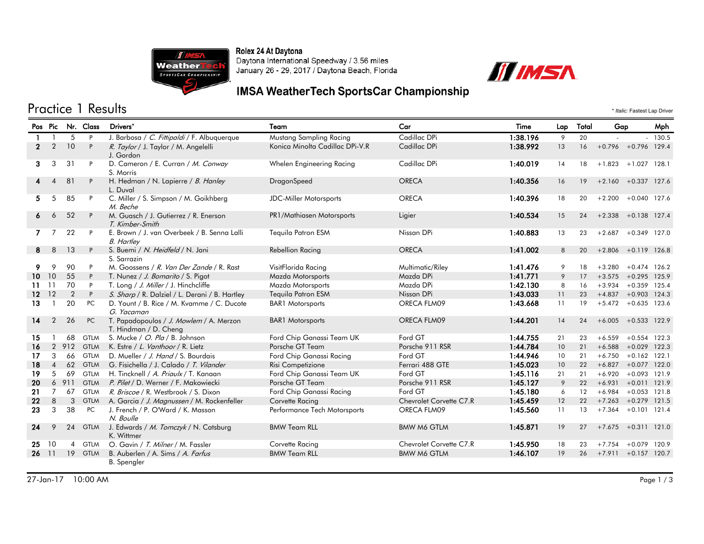Rolex 24 At Daytona



Daytona International Speedway / 3.56 miles January 26 - 29, 2017 / Daytona Beach, Florida



# **IMSA WeatherTech SportsCar Championship**

## Practice 1 Results \* *Italic:* Fastest Lap Driver

|              | Pos Pic                |                | Nr. Class   | Drivers*                                                         | Team                            | Car                     | Time     | Total<br>Lap |    | Gap                    |                | Mph   |
|--------------|------------------------|----------------|-------------|------------------------------------------------------------------|---------------------------------|-------------------------|----------|--------------|----|------------------------|----------------|-------|
|              |                        | 5              | P           | J. Barbosa / C. Fittipaldi / F. Albuquerque                      | Mustang Sampling Racing         | Cadillac DPi            | 1:38.196 | 9            | 20 |                        |                | 130.5 |
| $\mathbf{2}$ | $\overline{2}$         | 10             | P           | R. Taylor / J. Taylor / M. Angelelli<br>J. Gordon                | Konica Minolta Cadillac DPi-V.R | Cadillac DPi            | 1:38.992 | 13           | 16 | $+0.796 + 0.796$ 129.4 |                |       |
| 3            | 3                      | 31             | P           | D. Cameron / E. Curran / M. Conway<br>S. Morris                  | Whelen Engineering Racing       | Cadillac DPi            | 1:40.019 | 14           | 18 | $+1.823$               | $+1.027$ 128.1 |       |
| 4            | $\boldsymbol{\Lambda}$ | 81             | P           | H. Hedman / N. Lapierre / B. Hanley<br>L. Duval                  | DragonSpeed                     | <b>ORECA</b>            | 1:40.356 | 16           | 19 | $+2.160 + 0.337$ 127.6 |                |       |
| 5            | 5                      | 85             | P           | C. Miller / S. Simpson / M. Goikhberg<br>M. Beche                | <b>JDC-Miller Motorsports</b>   | <b>ORECA</b>            | 1:40.396 | 18           | 20 | $+2.200$               | $+0.040$ 127.6 |       |
| 6            | 6                      | 52             | P           | M. Guasch / J. Gutierrez / R. Enerson<br>T. Kimber-Smith         | PR1/Mathiasen Motorsports       | Ligier                  | 1:40.534 | 15           | 24 | $+2.338$               | $+0.138$ 127.4 |       |
| 7.           | 7                      | 22             | P           | E. Brown / J. van Overbeek / B. Senna Lalli<br><b>B.</b> Hartley | Tequila Patron ESM              | Nissan DPi              | 1:40.883 | 13           | 23 | $+2.687$               | $+0.349$ 127.0 |       |
| 8            | 8                      | 13             | P           | S. Buemi / N. Heidfeld / N. Jani                                 | <b>Rebellion Racing</b>         | <b>ORECA</b>            | 1:41.002 | 8            | 20 | $+2.806$               | $+0.119$ 126.8 |       |
|              |                        |                |             | S. Sarrazin                                                      |                                 |                         |          |              |    |                        |                |       |
| 9            | 9                      | 90             | P           | M. Goossens / R. Van Der Zande / R. Rast                         | VisitFlorida Racing             | Multimatic/Riley        | 1:41.476 | 9            | 18 | $+3.280$               | $+0.474$ 126.2 |       |
| 10.          | 10                     | 55             | P           | T. Nunez / J. Bomarito / S. Pigot                                | Mazda Motorsports               | Mazda DPi               | 1:41.771 | 9            | 17 | $+3.575 +0.295$        |                | 125.9 |
| 11           | 11                     | 70             | P           | T. Long / J. Miller / J. Hinchcliffe                             | Mazda Motorsports               | Mazda DPi               | 1:42.130 | 8            | 16 | $+3.934$               | $+0.359$       | 125.4 |
| $12 \,$      | 12                     | 2              | P           | S. Sharp / R. Dalziel / L. Derani / B. Hartley                   | Tequila Patron ESM              | Nissan DPi              | 1:43.033 | 11           | 23 | $+4.837$               | $+0.903$       | 124.3 |
| 13           |                        | 20             | PC          | D. Yount / B. Rice / M. Kvamme / C. Ducote<br>G. Yacaman         | <b>BAR1</b> Motorsports         | ORECA FLM09             | 1:43.668 | 11           | 19 | $+5.472$               | $+0.635$ 123.6 |       |
| 14           | $\overline{2}$         | 26             | PC          | T. Papadopoulos / J. Mowlem / A. Merzon<br>T. Hindman / D. Cheng | <b>BAR1</b> Motorsports         | ORECA FLM09             | 1:44.201 | 14           | 24 | $+6.005 + 0.533$ 122.9 |                |       |
| 15           |                        | 68             | <b>GTLM</b> | S. Mucke / O. Pla / B. Johnson                                   | Ford Chip Ganassi Team UK       | Ford GT                 | 1:44.755 | 21           | 23 | $+6.559$               | $+0.554$ 122.3 |       |
| 16           | 2                      | 912            | <b>GTLM</b> | K. Estre / L. Vanthoor / R. Lietz                                | Porsche GT Team                 | Porsche 911 RSR         | 1:44.784 | 10           | 21 | $+6.588 + 0.029$       |                | 122.3 |
| 17           | 3                      | 66             | <b>GTLM</b> | D. Mueller / J. Hand / S. Bourdais                               | Ford Chip Ganassi Racing        | Ford GT                 | 1:44.946 | 10           | 21 | $+6.750$               | $+0.162$ 122.1 |       |
| 18           | $\overline{4}$         | 62             | <b>GTLM</b> | G. Fisichella / J. Calado / T. Vilander                          | Risi Competizione               | Ferrari 488 GTE         | 1:45.023 | 10           | 22 | $+6.827$               | $+0.077$ 122.0 |       |
| 19           | 5                      | 69             | <b>GTLM</b> | H. Tincknell / A. Priaulx / T. Kanaan                            | Ford Chip Ganassi Team UK       | Ford GT                 | 1:45.116 | 21           | 21 | $+6.920$               | $+0.093$       | 121.9 |
| 20           |                        | 6 911          | <b>GTLM</b> | P. Pilet / D. Werner / F. Makowiecki                             | Porsche GT Team                 | Porsche 911 RSR         | 1:45.127 | 9            | 22 | $+6.931$               | $+0.011$ 121.9 |       |
| 21           | $\overline{7}$         | 67             | <b>GTLM</b> | R. Briscoe / R. Westbrook / S. Dixon                             | Ford Chip Ganassi Racing        | Ford GT                 | 1:45.180 | 6            | 12 | $+6.984$               | $+0.053$ 121.8 |       |
| 22           | 8                      | 3              | <b>GTLM</b> | A. Garcia / J. Magnussen / M. Rockenfeller                       | Corvette Racing                 | Chevrolet Corvette C7.R | 1:45.459 | 12           | 22 | $+7.263$               | $+0.279$ 121.5 |       |
| 23           | 3                      | 38             | PC          | J. French / P. O'Ward / K. Masson<br>N. Boulle                   | Performance Tech Motorsports    | ORECA FLM09             | 1:45.560 | 11           | 13 | $+7.364$               | $+0.101$ 121.4 |       |
| 24           | 9                      | 24             | <b>GTLM</b> | J. Edwards / M. Tomczyk / N. Catsburg<br>K. Wittmer              | <b>BMW Team RLL</b>             | <b>BMW M6 GTLM</b>      | 1:45.871 | 19           | 27 | $+7.675$               | $+0.311$ 121.0 |       |
| 25           | 10                     | $\overline{4}$ | <b>GTLM</b> | O. Gavin / T. Milner / M. Fassler                                | Corvette Racing                 | Chevrolet Corvette C7.R | 1:45.950 | 18           | 23 | $+7.754$               | $+0.079$       | 120.9 |
| 26           | 11                     | 19             | <b>GTLM</b> | B. Auberlen / A. Sims / A. Farfus<br><b>B.</b> Spengler          | <b>BMW Team RLL</b>             | <b>BMW M6 GTLM</b>      | 1:46.107 | 19           | 26 | $+7.911$               | $+0.157$ 120.7 |       |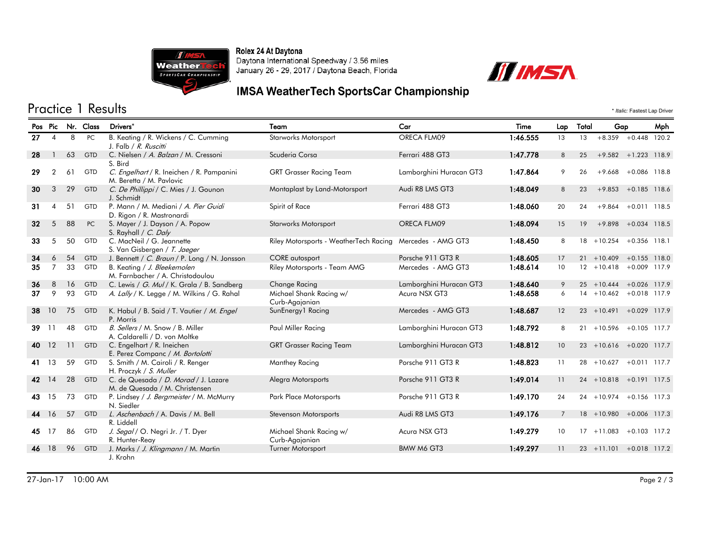Rolex 24 At Daytona



Daytona International Speedway / 3.56 miles January 26 - 29, 2017 / Daytona Beach, Florida



#### **IMSA WeatherTech SportsCar Championship**

## Practice 1 Results \* *Italic:* Fastest Lap Driver

|    | Pos Pic        |    | Nr. Class  | Drivers*                                                               | Team                                                      | Car                     | Time     | Lap            | Total | Gap                         |                        | Mph   |
|----|----------------|----|------------|------------------------------------------------------------------------|-----------------------------------------------------------|-------------------------|----------|----------------|-------|-----------------------------|------------------------|-------|
| 27 | $\overline{4}$ | 8  | PC         | B. Keating / R. Wickens / C. Cumming<br>J. Falb / R. Ruscitti          | <b>Starworks Motorsport</b>                               | ORECA FLM09             | 1:46.555 | 13             | 13    | $+8.359$                    | $+0.448$               | 120.2 |
| 28 |                | 63 | <b>GTD</b> | C. Nielsen / A. Balzan / M. Cressoni<br>S. Bird                        | Scuderia Corsa                                            | Ferrari 488 GT3         | 1:47.778 | 8              | 25    | $+9.582 + 1.223$ 118.9      |                        |       |
| 29 | $\overline{2}$ | 61 | <b>GTD</b> | C. Engelhart / R. Ineichen / R. Pampanini<br>M. Beretta / M. Pavlovic  | <b>GRT Grasser Racing Team</b>                            | Lamborghini Huracan GT3 | 1:47.864 | 9              | 26    | $+9.668$                    | $+0.086$ 118.8         |       |
| 30 | 3              | 29 | <b>GTD</b> | C. De Phillippi / C. Mies / J. Gounon<br>J. Schmidt                    | Montaplast by Land-Motorsport                             | Audi R8 LMS GT3         | 1:48.049 | 8              | 23    | $+9.853$                    | $+0.185$ 118.6         |       |
| 31 | 4              | 51 | <b>GTD</b> | P. Mann / M. Mediani / A. Pier Guidi<br>D. Rigon / R. Mastronardi      | Spirit of Race                                            | Ferrari 488 GT3         | 1:48.060 | 20             | 24    |                             | $+9.864 + 0.011$ 118.5 |       |
| 32 | 5              | 88 | PC         | S. Mayer / J. Dayson / A. Popow<br>S. Rayhall / C. Daly                | <b>Starworks Motorsport</b>                               | ORECA FLM09             | 1:48.094 | 15             | 19    | $+9.898 + 0.034$ 118.5      |                        |       |
| 33 | 5              | 50 | <b>GTD</b> | C. MacNeil / G. Jeannette<br>S. Van Gisbergen / T. Jaeger              | Riley Motorsports - WeatherTech Racing Mercedes - AMG GT3 |                         | 1:48.450 | 8              |       | 18 +10.254 +0.356 118.1     |                        |       |
| 34 | 6              | 54 | <b>GTD</b> | J. Bennett / C. Braun / P. Long / N. Jonsson                           | <b>CORE</b> autosport                                     | Porsche 911 GT3 R       | 1:48.605 | 17             |       | $21 + 10.409$               | $+0.155$ 118.0         |       |
| 35 | $\overline{7}$ | 33 | GTD        | B. Keating / J. Bleekemolen<br>M. Farnbacher / A. Christodoulou        | Riley Motorsports - Team AMG                              | Mercedes - AMG GT3      | 1:48.614 | 10             |       | $12 + 10.418$               | $+0.009$ 117.9         |       |
| 36 | 8              | 16 | <b>GTD</b> | C. Lewis / G. Mul / K. Grala / B. Sandberg                             | Change Racing                                             | Lamborghini Huracan GT3 | 1:48.640 | 9              |       | $25 + 10.444$               | $+0.026$ 117.9         |       |
| 37 | 9              | 93 | <b>GTD</b> | A. Lally / K. Legge / M. Wilkins / G. Rahal                            | Michael Shank Racing w/<br>Curb-Agajanian                 | Acura NSX GT3           | 1:48.658 | 6              |       | $14 + 10.462 + 0.018$ 117.9 |                        |       |
| 38 | 10             | 75 | <b>GTD</b> | K. Habul / B. Said / T. Vautier / M. Engel<br>P. Morris                | SunEnergy1 Racing                                         | Mercedes - AMG GT3      | 1:48.687 | 12             |       | $23 + 10.491 + 0.029$ 117.9 |                        |       |
| 39 | 11             | 48 | <b>GTD</b> | B. Sellers / M. Snow / B. Miller<br>A. Caldarelli / D. von Moltke      | Paul Miller Racing                                        | Lamborghini Huracan GT3 | 1:48.792 | 8              |       | $21 + 10.596$               | $+0.105$ 117.7         |       |
| 40 | 12             | 11 | <b>GTD</b> | C. Engelhart / R. Ineichen<br>E. Perez Companc / M. Bortolotti         | <b>GRT Grasser Racing Team</b>                            | Lamborghini Huracan GT3 | 1:48.812 | 10             |       | 23 +10.616 +0.020 117.7     |                        |       |
| 41 | 13             | 59 | <b>GTD</b> | S. Smith / M. Cairoli / R. Renger<br>H. Proczyk / S. Muller            | Manthey Racing                                            | Porsche 911 GT3 R       | 1:48.823 | 11             |       | $28 + 10.627$               | $+0.011$ 117.7         |       |
| 42 | 14             | 28 | <b>GTD</b> | C. de Quesada / D. Morad / J. Lazare<br>M. de Quesada / M. Christensen | Alegra Motorsports                                        | Porsche 911 GT3 R       | 1:49.014 | 11             |       | $24 + 10.818 + 0.191$ 117.5 |                        |       |
| 43 | 15             | 73 | <b>GTD</b> | P. Lindsey / J. Bergmeister / M. McMurry<br>N. Siedler                 | Park Place Motorsports                                    | Porsche 911 GT3 R       | 1:49.170 | 24             |       | $24 + 10.974$               | $+0.156$ 117.3         |       |
| 44 | 16             | 57 | <b>GTD</b> | L. Aschenbach / A. Davis / M. Bell<br>R. Liddell                       | Stevenson Motorsports                                     | Audi R8 LMS GT3         | 1:49.176 | $\overline{7}$ |       | $18 + 10.980$               | $+0.006$ 117.3         |       |
| 45 | 17             | 86 | GTD        | J. Segal / O. Negri Jr. / T. Dyer<br>R. Hunter-Reay                    | Michael Shank Racing w/<br>Curb-Agajanian                 | Acura NSX GT3           | 1:49.279 | 10             |       | $17 + 11.083$               | $+0.103$ 117.2         |       |
| 46 | 18             | 96 | <b>GTD</b> | J. Marks / J. Klingmann / M. Martin                                    | Turner Motorsport                                         | <b>BMW M6 GT3</b>       | 1:49.297 | 11             |       | $23 + 11.101$               | $+0.018$ 117.2         |       |
|    |                |    |            | J. Krohn                                                               |                                                           |                         |          |                |       |                             |                        |       |